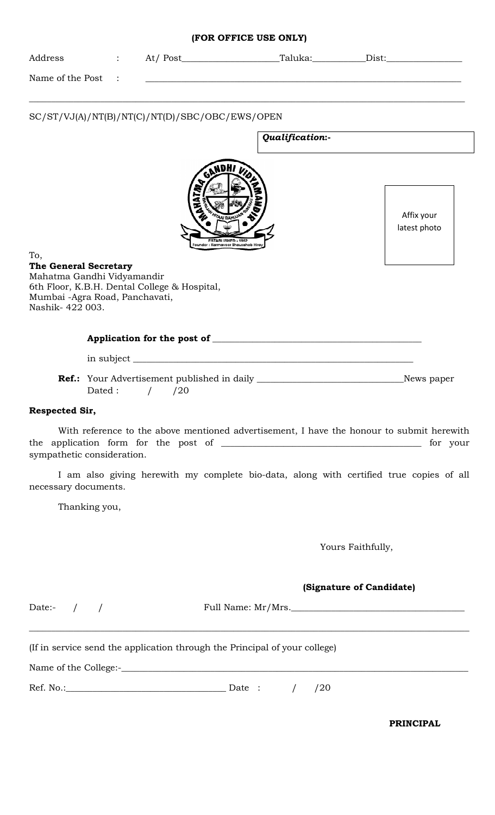| Address                                                                                                               |               |                                                                            |                                                                                                  |                 |                                                                                                  |
|-----------------------------------------------------------------------------------------------------------------------|---------------|----------------------------------------------------------------------------|--------------------------------------------------------------------------------------------------|-----------------|--------------------------------------------------------------------------------------------------|
| Name of the Post                                                                                                      |               |                                                                            |                                                                                                  |                 |                                                                                                  |
|                                                                                                                       |               | SC/ST/VJ(A)/NT(B)/NT(C)/NT(D)/SBC/OBC/EWS/OPEN                             |                                                                                                  | Qualification:- |                                                                                                  |
| To,<br><b>The General Secretary</b><br>Mahatma Gandhi Vidyamandir<br>Mumbai -Agra Road, Panchavati,<br>Nashik-422003. |               | 6th Floor, K.B.H. Dental College & Hospital,                               | GANDHI V<br><b>AAI BAHUJA</b><br><b>ESTABLISHED - 1952</b><br>Founder : Karmaveer Bhausaheb Hira |                 | Affix your<br>latest photo                                                                       |
|                                                                                                                       |               |                                                                            |                                                                                                  |                 |                                                                                                  |
|                                                                                                                       |               |                                                                            |                                                                                                  |                 |                                                                                                  |
|                                                                                                                       | Dated:        | /20                                                                        |                                                                                                  |                 | <b>Ref.:</b> Your Advertisement published in daily ___________________________________News paper |
| Respected Sir,                                                                                                        |               |                                                                            |                                                                                                  |                 |                                                                                                  |
| sympathetic consideration.                                                                                            |               |                                                                            |                                                                                                  |                 | With reference to the above mentioned advertisement, I have the honour to submit herewith        |
| necessary documents.                                                                                                  |               |                                                                            |                                                                                                  |                 | I am also giving herewith my complete bio-data, along with certified true copies of all          |
|                                                                                                                       | Thanking you, |                                                                            |                                                                                                  |                 |                                                                                                  |
|                                                                                                                       |               |                                                                            |                                                                                                  |                 | Yours Faithfully,                                                                                |
|                                                                                                                       |               |                                                                            |                                                                                                  |                 | (Signature of Candidate)                                                                         |
| Date:- $/$ /                                                                                                          |               |                                                                            |                                                                                                  |                 | Full Name: Mr/Mrs.                                                                               |
|                                                                                                                       |               |                                                                            |                                                                                                  |                 |                                                                                                  |
|                                                                                                                       |               | (If in service send the application through the Principal of your college) |                                                                                                  |                 |                                                                                                  |
|                                                                                                                       |               |                                                                            |                                                                                                  |                 |                                                                                                  |
|                                                                                                                       |               | Ref. No.: $\qquad \qquad$ Date : /                                         |                                                                                                  | /20             |                                                                                                  |
|                                                                                                                       |               |                                                                            |                                                                                                  |                 | <b>PRINCIPAL</b>                                                                                 |

### **(FOR OFFICE USE ONLY)**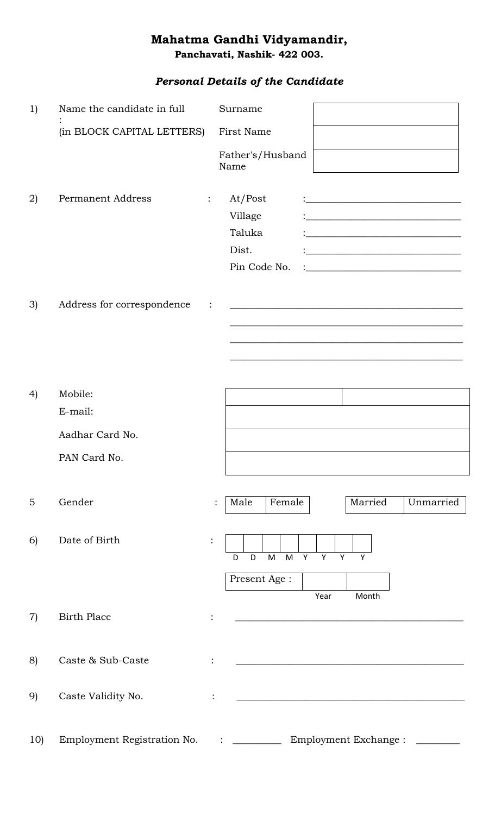# **Mahatma Gandhi Vidyamandir,**

**Panchavati, Nashik- 422 003.** 

## *Personal Details of the Candidate*

| 1)                | Name the candidate in full                            | Surname                                                                                                                                                                                                                                                                                                                                                                     |
|-------------------|-------------------------------------------------------|-----------------------------------------------------------------------------------------------------------------------------------------------------------------------------------------------------------------------------------------------------------------------------------------------------------------------------------------------------------------------------|
|                   | (in BLOCK CAPITAL LETTERS)                            | First Name                                                                                                                                                                                                                                                                                                                                                                  |
|                   |                                                       | Father's/Husband<br>Name                                                                                                                                                                                                                                                                                                                                                    |
| 2)                | <b>Permanent Address</b>                              | At/Post<br>$\ddot{\cdot}$<br><u> 1989 - Johann Barbara, martxa amerikan bashkar (</u><br>Village<br>Taluka<br><u> 1980 - Andrea Andrew Maria (h. 1980).</u><br>Dist.<br><u> 1989 - Johann John Stone, market fransk politiker (</u><br>Pin Code No.<br><u> 1989 - Johann Stein, marwolaethau a bhann an t-Amhain Aonaich an t-Amhain Aonaich an t-Amhain Aonaich an t-A</u> |
| 3)                | Address for correspondence                            |                                                                                                                                                                                                                                                                                                                                                                             |
| 4)                | Mobile:<br>E-mail:<br>Aadhar Card No.<br>PAN Card No. |                                                                                                                                                                                                                                                                                                                                                                             |
| 5                 | Gender                                                | Married<br>Female<br>Unmarried<br>Male                                                                                                                                                                                                                                                                                                                                      |
| 6)                | Date of Birth                                         | $\ddot{\cdot}$<br>M Y Y<br>M<br>Y<br>D<br>D<br>Y<br>Present Age:<br>Year<br>Month                                                                                                                                                                                                                                                                                           |
| $\left( 7\right)$ | <b>Birth Place</b>                                    |                                                                                                                                                                                                                                                                                                                                                                             |
| 8)                | Caste & Sub-Caste                                     |                                                                                                                                                                                                                                                                                                                                                                             |
| 9)                | Caste Validity No.                                    |                                                                                                                                                                                                                                                                                                                                                                             |
| 10)               | Employment Registration No.                           | Employment Exchange :<br>$\mathbf{1}$ . The set of the set of $\mathbf{1}$                                                                                                                                                                                                                                                                                                  |